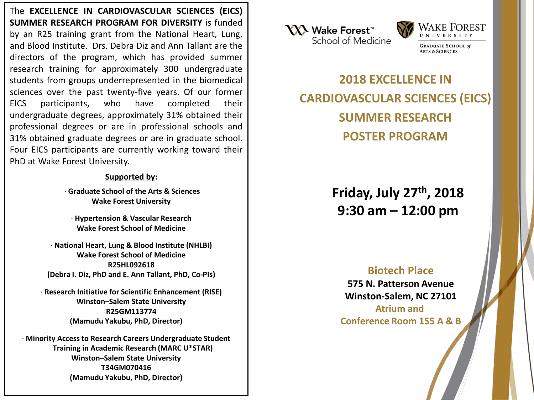The **EXCELLENCE IN CARDIOVASCULAR SCIENCES (EICS) SUMMER RESEARCH PROGRAM FOR DIVERSITY** is funded by an R25 training grant from the National Heart, Lung, and Blood Institute. Drs. Debra Diz and Ann Tallant are the directors of the program, which has provided summer research training for approximately 300 undergraduate students from groups underrepresented in the biomedical sciences over the past twenty-five years. Of our former EICS participants, who have completed their undergraduate degrees, approximately 31% obtained their professional degrees or are in professional schools and 31% obtained graduate degrees or are in graduate school. Four EICS participants are currently working toward their PhD at Wake Forest University.

# **Supported by:**

· **Graduate School of the Arts & Sciences Wake Forest University**

· **Hypertension & Vascular Research Wake Forest School of Medicine**

· **National Heart, Lung & Blood Institute (NHLBI) Wake Forest School of Medicine R25HL092618 (Debra I. Diz, PhD and E. Ann Tallant, PhD, Co-PIs)**

· **Research Initiative for Scientific Enhancement (RISE) Winston–Salem State University R25GM113774 (Mamudu Yakubu, PhD, Director)**

· **Minority Access to Research Careers Undergraduate Student Training in Academic Research (MARC U\*STAR) Winston–Salem State University T34GM070416 (Mamudu Yakubu, PhD, Director)**





**ARTS & SCIENCES** 

**2018 EXCELLENCE IN CARDIOVASCULAR SCIENCES (EICS) SUMMER RESEARCH POSTER PROGRAM**

> **Friday, July 27th, 2018 9:30 am – 12:00 pm**

# **Biotech Place**

**575 N. Patterson Avenue Winston-Salem, NC 27101 Atrium and Conference Room 155 A & B**